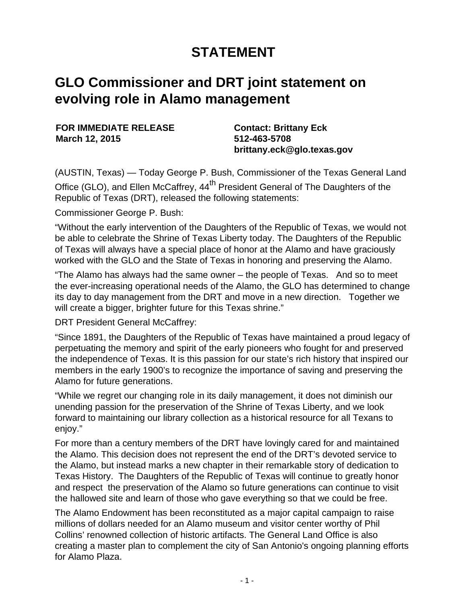## **STATEMENT**

## **GLO Commissioner and DRT joint statement on evolving role in Alamo management**

**FOR IMMEDIATE RELEASE March 12, 2015**

**Contact: Brittany Eck 512-463-5708 brittany.eck@glo.texas.gov**

(AUSTIN, Texas) — Today George P. Bush, Commissioner of the Texas General Land

Office (GLO), and Ellen McCaffrey, 44<sup>th</sup> President General of The Daughters of the Republic of Texas (DRT), released the following statements:

Commissioner George P. Bush:

"Without the early intervention of the Daughters of the Republic of Texas, we would not be able to celebrate the Shrine of Texas Liberty today. The Daughters of the Republic of Texas will always have a special place of honor at the Alamo and have graciously worked with the GLO and the State of Texas in honoring and preserving the Alamo.

"The Alamo has always had the same owner – the people of Texas. And so to meet the ever-increasing operational needs of the Alamo, the GLO has determined to change its day to day management from the DRT and move in a new direction. Together we will create a bigger, brighter future for this Texas shrine."

DRT President General McCaffrey:

"Since 1891, the Daughters of the Republic of Texas have maintained a proud legacy of perpetuating the memory and spirit of the early pioneers who fought for and preserved the independence of Texas. It is this passion for our state's rich history that inspired our members in the early 1900's to recognize the importance of saving and preserving the Alamo for future generations.

"While we regret our changing role in its daily management, it does not diminish our unending passion for the preservation of the Shrine of Texas Liberty, and we look forward to maintaining our library collection as a historical resource for all Texans to enjoy."

For more than a century members of the DRT have lovingly cared for and maintained the Alamo. This decision does not represent the end of the DRT's devoted service to the Alamo, but instead marks a new chapter in their remarkable story of dedication to Texas History. The Daughters of the Republic of Texas will continue to greatly honor and respect the preservation of the Alamo so future generations can continue to visit the hallowed site and learn of those who gave everything so that we could be free.

The Alamo Endowment has been reconstituted as a major capital campaign to raise millions of dollars needed for an Alamo museum and visitor center worthy of Phil Collins' renowned collection of historic artifacts. The General Land Office is also creating a master plan to complement the city of San Antonio's ongoing planning efforts for Alamo Plaza.